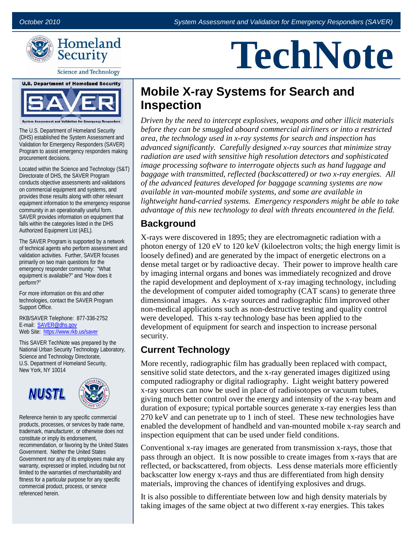**TechNote**



**Science and Technology** 



The U.S. Department of Homeland Security (DHS) established the System Assessment and Validation for Emergency Responders (SAVER) Program to assist emergency responders making procurement decisions.

Located within the Science and Technology (S&T) Directorate of DHS, the SAVER Program conducts objective assessments and validations on commercial equipment and systems, and provides those results along with other relevant equipment information to the emergency response community in an operationally useful form. SAVER provides information on equipment that falls within the categories listed in the DHS Authorized Equipment List (AEL).

The SAVER Program is supported by a network of technical agents who perform assessment and validation activities. Further, SAVER focuses primarily on two main questions for the emergency responder community: "What equipment is available?" and "How does it perform?"

For more information on this and other technologies, contact the SAVER Program Support Office.

RKB/SAVER Telephone: 877-336-2752 E-mail: [SAVER@dhs.gov](mailto:SAVER@dhs.gov) Web Site:<https://www.rkb.us/saver>

This SAVER TechNote was prepared by the National Urban Security Technology Laboratory, Science and Technology Directorate, U.S. Department of Homeland Security, New York, NY 10014





Reference herein to any specific commercial products, processes, or services by trade name, trademark, manufacturer, or otherwise does not constitute or imply its endorsement, recommendation, or favoring by the United States Government. Neither the United States Government nor any of its employees make any warranty, expressed or implied, including but not limited to the warranties of merchantability and fitness for a particular purpose for any specific commercial product, process, or service referenced herein.

# **Mobile X-ray Systems for Search and Inspection**

*Driven by the need to intercept explosives, weapons and other illicit materials before they can be smuggled aboard commercial airliners or into a restricted area, the technology used in x-ray systems for search and inspection has advanced significantly. Carefully designed x-ray sources that minimize stray radiation are used with sensitive high resolution detectors and sophisticated image processing software to interrogate objects such as hand luggage and baggage with transmitted, reflected (backscattered) or two x-ray energies. All of the advanced features developed for baggage scanning systems are now available in van-mounted mobile systems, and some are available in lightweight hand-carried systems. Emergency responders might be able to take advantage of this new technology to deal with threats encountered in the field.* 

#### **Background**

X-rays were discovered in 1895; they are electromagnetic radiation with a photon energy of 120 eV to 120 keV (kiloelectron volts; the high energy limit is loosely defined) and are generated by the impact of energetic electrons on a dense metal target or by radioactive decay. Their power to improve health care by imaging internal organs and bones was immediately recognized and drove the rapid development and deployment of x-ray imaging technology, including the development of computer aided tomography (CAT scans) to generate three dimensional images. As x-ray sources and radiographic film improved other non-medical applications such as non-destructive testing and quality control were developed. This x-ray technology base has been applied to the development of equipment for search and inspection to increase personal security.

### **Current Technology**

More recently, radiographic film has gradually been replaced with compact, sensitive solid state detectors, and the x-ray generated images digitized using computed radiography or digital radiography. Light weight battery powered x-ray sources can now be used in place of radioisotopes or vacuum tubes, giving much better control over the energy and intensity of the x-ray beam and duration of exposure; typical portable sources generate x-ray energies less than 270 keV and can penetrate up to 1 inch of steel. These new technologies have enabled the development of handheld and van-mounted mobile x-ray search and inspection equipment that can be used under field conditions.

Conventional x-ray images are generated from transmission x-rays, those that pass through an object. It is now possible to create images from x-rays that are reflected, or backscattered, from objects. Less dense materials more efficiently backscatter low energy x-rays and thus are differentiated from high density materials, improving the chances of identifying explosives and drugs.

It is also possible to differentiate between low and high density materials by taking images of the same object at two different x-ray energies. This takes